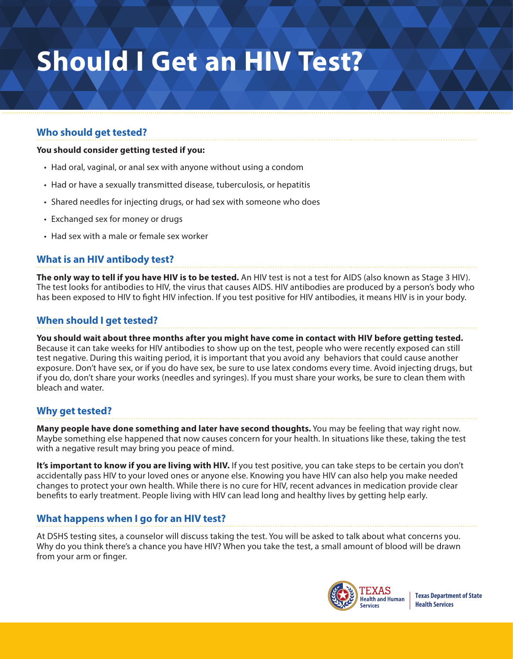# **Should I Get an HIV Test?**

## **Who should get tested?**

#### **You should consider getting tested if you:**

- Had oral, vaginal, or anal sex with anyone without using a condom
- Had or have a sexually transmitted disease, tuberculosis, or hepatitis
- Shared needles for injecting drugs, or had sex with someone who does
- Exchanged sex for money or drugs
- Had sex with a male or female sex worker

### **What is an HIV antibody test?**

**The only way to tell if you have HIV is to be tested.** An HIV test is not a test for AIDS (also known as Stage 3 HIV). The test looks for antibodies to HIV, the virus that causes AIDS. HIV antibodies are produced by a person's body who has been exposed to HIV to fight HIV infection. If you test positive for HIV antibodies, it means HIV is in your body.

#### **When should I get tested?**

**You should wait about three months after you might have come in contact with HIV before getting tested.** Because it can take weeks for HIV antibodies to show up on the test, people who were recently exposed can still test negative. During this waiting period, it is important that you avoid any behaviors that could cause another exposure. Don't have sex, or if you do have sex, be sure to use latex condoms every time. Avoid injecting drugs, but if you do, don't share your works (needles and syringes). If you must share your works, be sure to clean them with bleach and water.

### **Why get tested?**

**Many people have done something and later have second thoughts.** You may be feeling that way right now. Maybe something else happened that now causes concern for your health. In situations like these, taking the test with a negative result may bring you peace of mind.

**It's important to know if you are living with HIV.** If you test positive, you can take steps to be certain you don't accidentally pass HIV to your loved ones or anyone else. Knowing you have HIV can also help you make needed changes to protect your own health. While there is no cure for HIV, recent advances in medication provide clear benefits to early treatment. People living with HIV can lead long and healthy lives by getting help early.

### **What happens when I go for an HIV test?**

At DSHS testing sites, a counselor will discuss taking the test. You will be asked to talk about what concerns you. Why do you think there's a chance you have HIV? When you take the test, a small amount of blood will be drawn from your arm or finger.



**Texas Department of State Health Services**